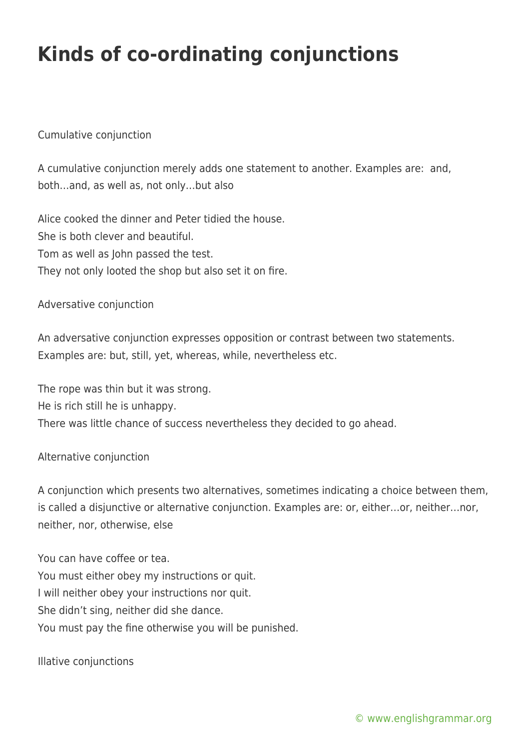# **Kinds of co-ordinating conjunctions**

### Cumulative conjunction

A cumulative conjunction merely adds one statement to another. Examples are: and, both…and, as well as, not only…but also

Alice cooked the dinner and Peter tidied the house. She is both clever and beautiful. Tom as well as John passed the test. They not only looted the shop but also set it on fire.

#### Adversative conjunction

An adversative conjunction expresses opposition or contrast between two statements. Examples are: but, still, yet, whereas, while, nevertheless etc.

The rope was thin but it was strong. He is rich still he is unhappy. There was little chance of success nevertheless they decided to go ahead.

#### Alternative conjunction

A conjunction which presents two alternatives, sometimes indicating a choice between them, is called a disjunctive or alternative conjunction. Examples are: or, either…or, neither…nor, neither, nor, otherwise, else

You can have coffee or tea. You must either obey my instructions or quit. I will neither obey your instructions nor quit. She didn't sing, neither did she dance. You must pay the fine otherwise you will be punished.

Illative conjunctions